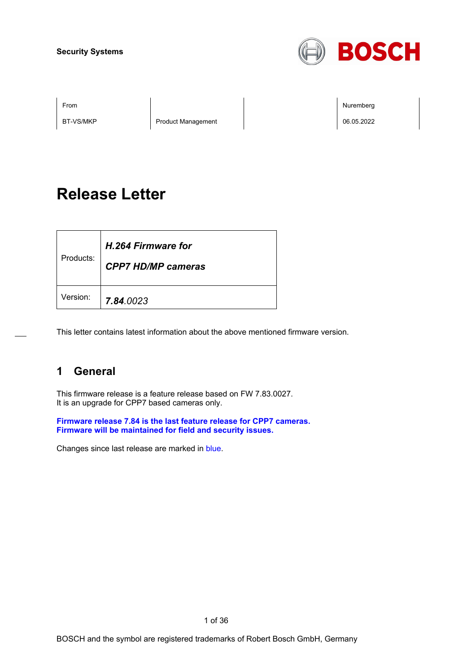

BT-VS/MKP Product Management 206.05.2022

From Nuremberg (Nuremberg ) and the contract of the contract of the contract of the contract of the contract of the contract of the contract of the contract of the contract of the contract of the contract of the contract o

# **Release Letter**

| Products: | H.264 Firmware for<br><b>CPP7 HD/MP cameras</b> |
|-----------|-------------------------------------------------|
| Version:  | 7.84.0023                                       |

This letter contains latest information about the above mentioned firmware version.

## **1 General**

This firmware release is a feature release based on FW 7.83.0027. It is an upgrade for CPP7 based cameras only.

**Firmware release 7.84 is the last feature release for CPP7 cameras. Firmware will be maintained for field and security issues.**

Changes since last release are marked in blue.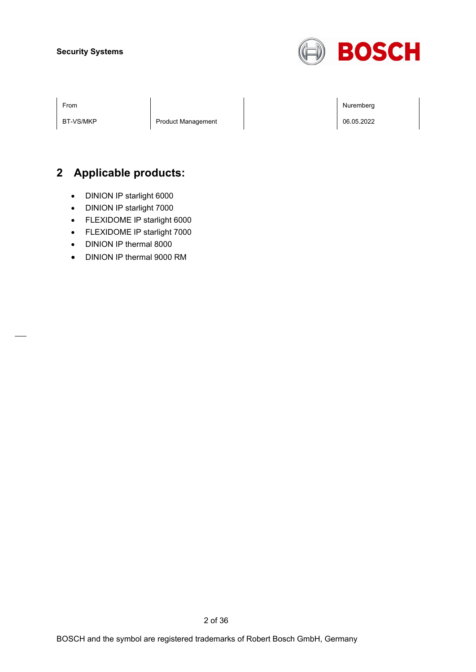

BT-VS/MKP | Product Management | | | | | | | | | | | | | | | 06.05.2022

From Nuremberg (Nuremberg ) and the contract of the contract of the contract of the contract of the contract of the contract of the contract of the contract of the contract of the contract of the contract of the contract o

## **2 Applicable products:**

- DINION IP starlight 6000
- DINION IP starlight 7000
- FLEXIDOME IP starlight 6000
- FLEXIDOME IP starlight 7000
- DINION IP thermal 8000
- DINION IP thermal 9000 RM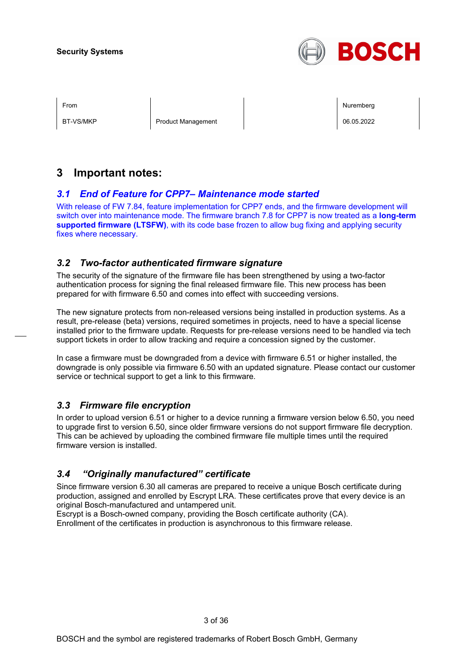

BT-VS/MKP Product Management Product Management Product National Product National Product Product National Product National Product National Product National Product National Product National Product National Product Natio

From Nuremberg (Nuremberg ) and the contract of the contract of the contract of the contract of the contract of the contract of the contract of the contract of the contract of the contract of the contract of the contract o

## **3 Important notes:**

## *3.1 End of Feature for CPP7– Maintenance mode started*

With release of FW 7.84, feature implementation for CPP7 ends, and the firmware development will switch over into maintenance mode. The firmware branch 7.8 for CPP7 is now treated as a **long-term supported firmware (LTSFW)**, with its code base frozen to allow bug fixing and applying security fixes where necessary.

## *3.2 Two-factor authenticated firmware signature*

The security of the signature of the firmware file has been strengthened by using a two-factor authentication process for signing the final released firmware file. This new process has been prepared for with firmware 6.50 and comes into effect with succeeding versions.

The new signature protects from non-released versions being installed in production systems. As a result, pre-release (beta) versions, required sometimes in projects, need to have a special license installed prior to the firmware update. Requests for pre-release versions need to be handled via tech support tickets in order to allow tracking and require a concession signed by the customer.

In case a firmware must be downgraded from a device with firmware 6.51 or higher installed, the downgrade is only possible via firmware 6.50 with an updated signature. Please contact our customer service or technical support to get a link to this firmware.

## *3.3 Firmware file encryption*

In order to upload version 6.51 or higher to a device running a firmware version below 6.50, you need to upgrade first to version 6.50, since older firmware versions do not support firmware file decryption. This can be achieved by uploading the combined firmware file multiple times until the required firmware version is installed.

## *3.4 "Originally manufactured" certificate*

Since firmware version 6.30 all cameras are prepared to receive a unique Bosch certificate during production, assigned and enrolled by Escrypt LRA. These certificates prove that every device is an original Bosch-manufactured and untampered unit.

Escrypt is a Bosch-owned company, providing the Bosch certificate authority (CA). Enrollment of the certificates in production is asynchronous to this firmware release.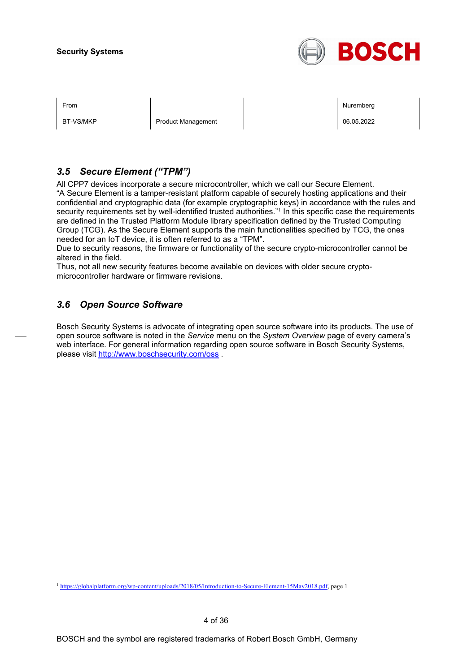

BT-VS/MKP Product Management Product Management Product Nanagement Product N

From Nuremberg (Nuremberg ) and the contract of the contract of the contract of the contract of the contract of the contract of the contract of the contract of the contract of the contract of the contract of the contract o

## *3.5 Secure Element ("TPM")*

All CPP7 devices incorporate a secure microcontroller, which we call our Secure Element. "A Secure Element is a tamper-resistant platform capable of securely hosting applications and their confidential and cryptographic data (for example cryptographic keys) in accordance with the rules and security requirements set by well-identified trusted authorities."<sup>[1](#page-3-0)</sup> In this specific case the requirements are defined in the Trusted Platform Module library specification defined by the Trusted Computing Group (TCG). As the Secure Element supports the main functionalities specified by TCG, the ones needed for an IoT device, it is often referred to as a "TPM".

Due to security reasons, the firmware or functionality of the secure crypto-microcontroller cannot be altered in the field.

Thus, not all new security features become available on devices with older secure cryptomicrocontroller hardware or firmware revisions.

## *3.6 Open Source Software*

Bosch Security Systems is advocate of integrating open source software into its products. The use of open source software is noted in the *Service* menu on the *System Overview* page of every camera's web interface. For general information regarding open source software in Bosch Security Systems, please visit<http://www.boschsecurity.com/oss> .

<span id="page-3-0"></span><sup>1</sup> [https://globalplatform.org/wp-content/uploads/2018/05/Introduction-to-Secure-Element-15May2018.pdf,](https://globalplatform.org/wp-content/uploads/2018/05/Introduction-to-Secure-Element-15May2018.pdf) page 1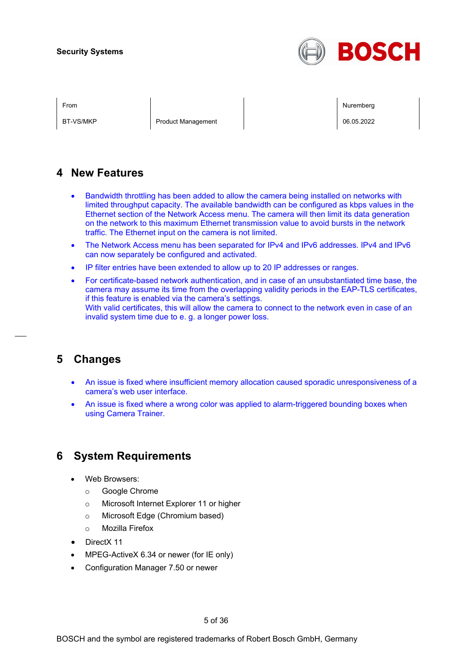

BT-VS/MKP Product Management Product Management Product Nanagement Product Nanagement Product Nanagement Product N

From Nuremberg (Nuremberg ) and the contract of the contract of the contract of the contract of the contract of the contract of the contract of the contract of the contract of the contract of the contract of the contract o

## **4 New Features**

- Bandwidth throttling has been added to allow the camera being installed on networks with limited throughput capacity. The available bandwidth can be configured as kbps values in the Ethernet section of the Network Access menu. The camera will then limit its data generation on the network to this maximum Ethernet transmission value to avoid bursts in the network traffic. The Ethernet input on the camera is not limited.
- The Network Access menu has been separated for IPv4 and IPv6 addresses. IPv4 and IPv6 can now separately be configured and activated.
- IP filter entries have been extended to allow up to 20 IP addresses or ranges.
- For certificate-based network authentication, and in case of an unsubstantiated time base, the camera may assume its time from the overlapping validity periods in the EAP-TLS certificates, if this feature is enabled via the camera's settings. With valid certificates, this will allow the camera to connect to the network even in case of an invalid system time due to e. g. a longer power loss.

## **5 Changes**

- An issue is fixed where insufficient memory allocation caused sporadic unresponsiveness of a camera's web user interface.
- An issue is fixed where a wrong color was applied to alarm-triggered bounding boxes when using Camera Trainer.

## **6 System Requirements**

- Web Browsers:
	- o Google Chrome
	- o Microsoft Internet Explorer 11 or higher
	- o Microsoft Edge (Chromium based)
	- o Mozilla Firefox
- DirectX 11
- MPEG-ActiveX 6.34 or newer (for IE only)
- Configuration Manager 7.50 or newer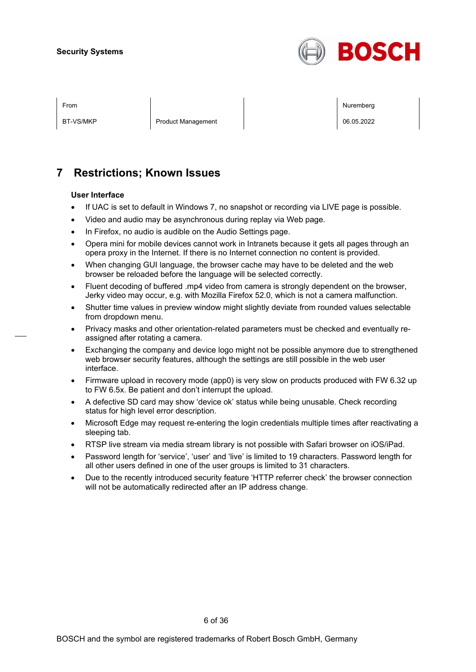

BT-VS/MKP Product Management Product Management Product Nanagement Product N

From the second contract of the second contract of the second contract of the second contract of the second contract of the second contract of the second contract of the second contract of the second contract of the second

## **7 Restrictions; Known Issues**

#### **User Interface**

- If UAC is set to default in Windows 7, no snapshot or recording via LIVE page is possible.
- Video and audio may be asynchronous during replay via Web page.
- In Firefox, no audio is audible on the Audio Settings page.
- Opera mini for mobile devices cannot work in Intranets because it gets all pages through an opera proxy in the Internet. If there is no Internet connection no content is provided.
- When changing GUI language, the browser cache may have to be deleted and the web browser be reloaded before the language will be selected correctly.
- Fluent decoding of buffered .mp4 video from camera is strongly dependent on the browser, Jerky video may occur, e.g. with Mozilla Firefox 52.0, which is not a camera malfunction.
- Shutter time values in preview window might slightly deviate from rounded values selectable from dropdown menu.
- Privacy masks and other orientation-related parameters must be checked and eventually reassigned after rotating a camera.
- Exchanging the company and device logo might not be possible anymore due to strengthened web browser security features, although the settings are still possible in the web user interface.
- Firmware upload in recovery mode (app0) is very slow on products produced with FW 6.32 up to FW 6.5x. Be patient and don't interrupt the upload.
- A defective SD card may show 'device ok' status while being unusable. Check recording status for high level error description.
- Microsoft Edge may request re-entering the login credentials multiple times after reactivating a sleeping tab.
- RTSP live stream via media stream library is not possible with Safari browser on iOS/iPad.
- Password length for 'service', 'user' and 'live' is limited to 19 characters. Password length for all other users defined in one of the user groups is limited to 31 characters.
- Due to the recently introduced security feature 'HTTP referrer check' the browser connection will not be automatically redirected after an IP address change.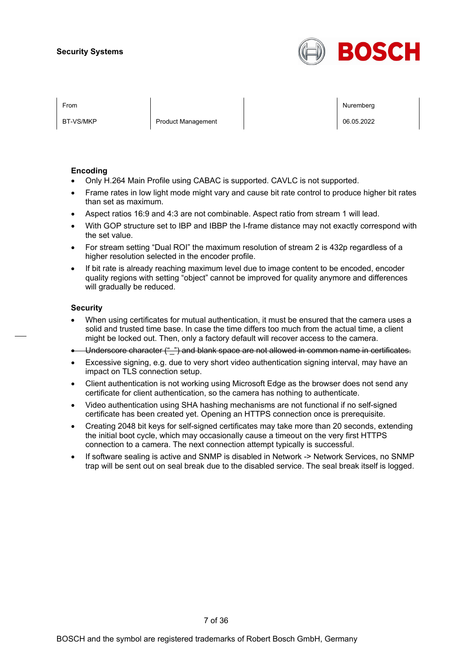

BT-VS/MKP Product Management 06.05.2022

From the second contract of the second contract of the second contract of the second contract of the second contract of the second contract of the second contract of the second contract of the second contract of the second

#### **Encoding**

- Only H.264 Main Profile using CABAC is supported. CAVLC is not supported.
- Frame rates in low light mode might vary and cause bit rate control to produce higher bit rates than set as maximum.
- Aspect ratios 16:9 and 4:3 are not combinable. Aspect ratio from stream 1 will lead.
- With GOP structure set to IBP and IBBP the I-frame distance may not exactly correspond with the set value.
- For stream setting "Dual ROI" the maximum resolution of stream 2 is 432p regardless of a higher resolution selected in the encoder profile.
- If bit rate is already reaching maximum level due to image content to be encoded, encoder quality regions with setting "object" cannot be improved for quality anymore and differences will gradually be reduced.

#### **Security**

- When using certificates for mutual authentication, it must be ensured that the camera uses a solid and trusted time base. In case the time differs too much from the actual time, a client might be locked out. Then, only a factory default will recover access to the camera.
- Underscore character (" ") and blank space are not allowed in common name in certificates.
- Excessive signing, e.g. due to very short video authentication signing interval, may have an impact on TLS connection setup.
- Client authentication is not working using Microsoft Edge as the browser does not send any certificate for client authentication, so the camera has nothing to authenticate.
- Video authentication using SHA hashing mechanisms are not functional if no self-signed certificate has been created yet. Opening an HTTPS connection once is prerequisite.
- Creating 2048 bit keys for self-signed certificates may take more than 20 seconds, extending the initial boot cycle, which may occasionally cause a timeout on the very first HTTPS connection to a camera. The next connection attempt typically is successful.
- If software sealing is active and SNMP is disabled in Network -> Network Services, no SNMP trap will be sent out on seal break due to the disabled service. The seal break itself is logged.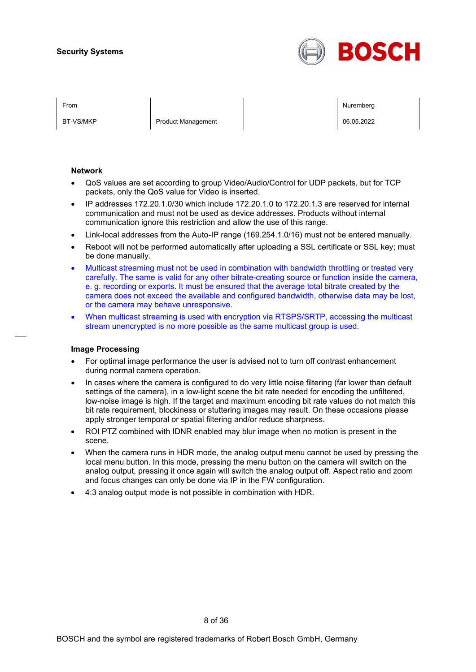

BT-VS/MKP Product Management Product Management Product Nanagement Product N

From the second contract of the second contract of the second contract of the second contract of the second contract of the second contract of the second contract of the second contract of the second contract of the second

#### **Network**

- QoS values are set according to group Video/Audio/Control for UDP packets, but for TCP packets, only the QoS value for Video is inserted.
- IP addresses 172.20.1.0/30 which include 172.20.1.0 to 172.20.1.3 are reserved for internal communication and must not be used as device addresses. Products without internal communication ignore this restriction and allow the use of this range.
- Link-local addresses from the Auto-IP range (169.254.1.0/16) must not be entered manually.
- Reboot will not be performed automatically after uploading a SSL certificate or SSL key; must be done manually.
- Multicast streaming must not be used in combination with bandwidth throttling or treated very carefully. The same is valid for any other bitrate-creating source or function inside the camera, e. g. recording or exports. It must be ensured that the average total bitrate created by the camera does not exceed the available and configured bandwidth, otherwise data may be lost, or the camera may behave unresponsive.
- When multicast streaming is used with encryption via RTSPS/SRTP, accessing the multicast stream unencrypted is no more possible as the same multicast group is used.

#### **Image Processing**

- For optimal image performance the user is advised not to turn off contrast enhancement during normal camera operation.
- In cases where the camera is configured to do very little noise filtering (far lower than default settings of the camera), in a low-light scene the bit rate needed for encoding the unfiltered, low-noise image is high. If the target and maximum encoding bit rate values do not match this bit rate requirement, blockiness or stuttering images may result. On these occasions please apply stronger temporal or spatial filtering and/or reduce sharpness.
- ROI PTZ combined with IDNR enabled may blur image when no motion is present in the scene.
- When the camera runs in HDR mode, the analog output menu cannot be used by pressing the local menu button. In this mode, pressing the menu button on the camera will switch on the analog output, pressing it once again will switch the analog output off. Aspect ratio and zoom and focus changes can only be done via IP in the FW configuration.
- 4:3 analog output mode is not possible in combination with HDR.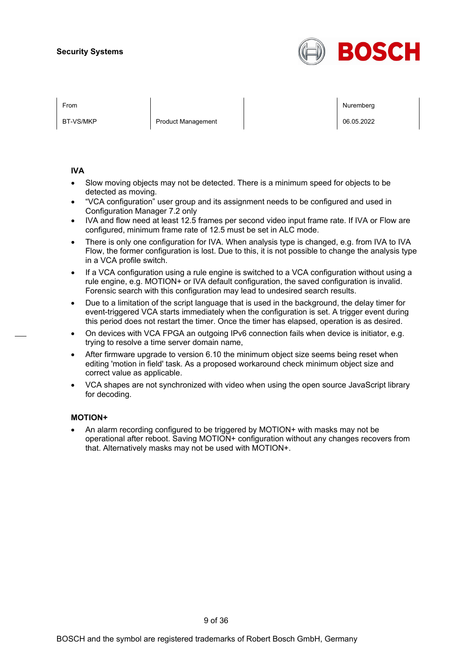

BT-VS/MKP Product Management Product Management Product Nanagement Product N

From the second contract of the second contract of the second contract of the second contract of the second contract of the second contract of the second contract of the second contract of the second contract of the second

#### **IVA**

- Slow moving objects may not be detected. There is a minimum speed for objects to be detected as moving.
- "VCA configuration" user group and its assignment needs to be configured and used in Configuration Manager 7.2 only
- IVA and flow need at least 12.5 frames per second video input frame rate. If IVA or Flow are configured, minimum frame rate of 12.5 must be set in ALC mode.
- There is only one configuration for IVA. When analysis type is changed, e.g. from IVA to IVA Flow, the former configuration is lost. Due to this, it is not possible to change the analysis type in a VCA profile switch.
- If a VCA configuration using a rule engine is switched to a VCA configuration without using a rule engine, e.g. MOTION+ or IVA default configuration, the saved configuration is invalid. Forensic search with this configuration may lead to undesired search results.
- Due to a limitation of the script language that is used in the background, the delay timer for event-triggered VCA starts immediately when the configuration is set. A trigger event during this period does not restart the timer. Once the timer has elapsed, operation is as desired.
- On devices with VCA FPGA an outgoing IPv6 connection fails when device is initiator, e.g. trying to resolve a time server domain name,
- After firmware upgrade to version 6.10 the minimum object size seems being reset when editing 'motion in field' task. As a proposed workaround check minimum object size and correct value as applicable.
- VCA shapes are not synchronized with video when using the open source JavaScript library for decoding.

#### **MOTION+**

• An alarm recording configured to be triggered by MOTION+ with masks may not be operational after reboot. Saving MOTION+ configuration without any changes recovers from that. Alternatively masks may not be used with MOTION+.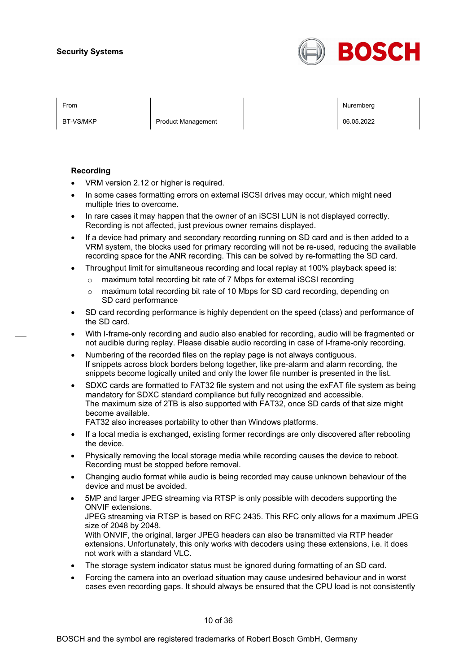

BT-VS/MKP Product Management 06.05.2022

From the second contract of the second contract of the second contract of the second contract of the second contract of the second contract of the second contract of the second contract of the second contract of the second

#### **Recording**

- VRM version 2.12 or higher is required.
- In some cases formatting errors on external iSCSI drives may occur, which might need multiple tries to overcome.
- In rare cases it may happen that the owner of an iSCSI LUN is not displayed correctly. Recording is not affected, just previous owner remains displayed.
- If a device had primary and secondary recording running on SD card and is then added to a VRM system, the blocks used for primary recording will not be re-used, reducing the available recording space for the ANR recording. This can be solved by re-formatting the SD card.
- Throughput limit for simultaneous recording and local replay at 100% playback speed is:
	- $\circ$  maximum total recording bit rate of 7 Mbps for external iSCSI recording
	- o maximum total recording bit rate of 10 Mbps for SD card recording, depending on SD card performance
- SD card recording performance is highly dependent on the speed (class) and performance of the SD card.
- With I-frame-only recording and audio also enabled for recording, audio will be fragmented or not audible during replay. Please disable audio recording in case of I-frame-only recording.
- Numbering of the recorded files on the replay page is not always contiguous. If snippets across block borders belong together, like pre-alarm and alarm recording, the snippets become logically united and only the lower file number is presented in the list.
- SDXC cards are formatted to FAT32 file system and not using the exFAT file system as being mandatory for SDXC standard compliance but fully recognized and accessible. The maximum size of 2TB is also supported with FAT32, once SD cards of that size might become available.

FAT32 also increases portability to other than Windows platforms.

- If a local media is exchanged, existing former recordings are only discovered after rebooting the device.
- Physically removing the local storage media while recording causes the device to reboot. Recording must be stopped before removal.
- Changing audio format while audio is being recorded may cause unknown behaviour of the device and must be avoided.
- 5MP and larger JPEG streaming via RTSP is only possible with decoders supporting the ONVIF extensions. JPEG streaming via RTSP is based on RFC 2435. This RFC only allows for a maximum JPEG size of 2048 by 2048. With ONVIF, the original, larger JPEG headers can also be transmitted via RTP header extensions. Unfortunately, this only works with decoders using these extensions, i.e. it does not work with a standard VLC.
- The storage system indicator status must be ignored during formatting of an SD card.
- Forcing the camera into an overload situation may cause undesired behaviour and in worst cases even recording gaps. It should always be ensured that the CPU load is not consistently

10 of 36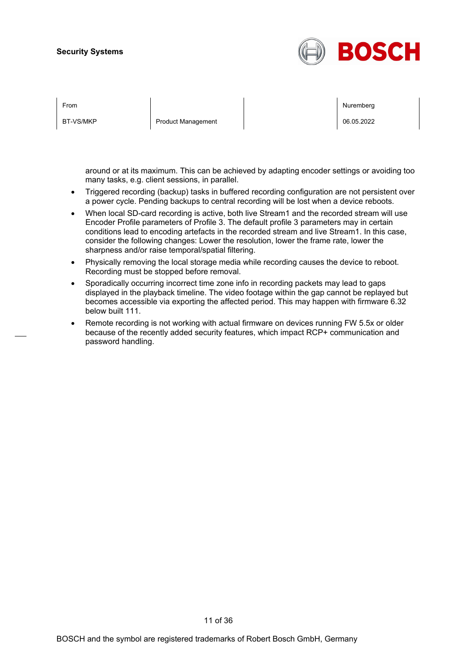

| From      |                           | Nuremberg  |
|-----------|---------------------------|------------|
| BT-VS/MKP | <b>Product Management</b> | 06.05.2022 |
|           |                           |            |

around or at its maximum. This can be achieved by adapting encoder settings or avoiding too many tasks, e.g. client sessions, in parallel.

- Triggered recording (backup) tasks in buffered recording configuration are not persistent over a power cycle. Pending backups to central recording will be lost when a device reboots.
- When local SD-card recording is active, both live Stream1 and the recorded stream will use Encoder Profile parameters of Profile 3. The default profile 3 parameters may in certain conditions lead to encoding artefacts in the recorded stream and live Stream1. In this case, consider the following changes: Lower the resolution, lower the frame rate, lower the sharpness and/or raise temporal/spatial filtering.
- Physically removing the local storage media while recording causes the device to reboot. Recording must be stopped before removal.
- Sporadically occurring incorrect time zone info in recording packets may lead to gaps displayed in the playback timeline. The video footage within the gap cannot be replayed but becomes accessible via exporting the affected period. This may happen with firmware 6.32 below built 111.
- Remote recording is not working with actual firmware on devices running FW 5.5x or older because of the recently added security features, which impact RCP+ communication and password handling.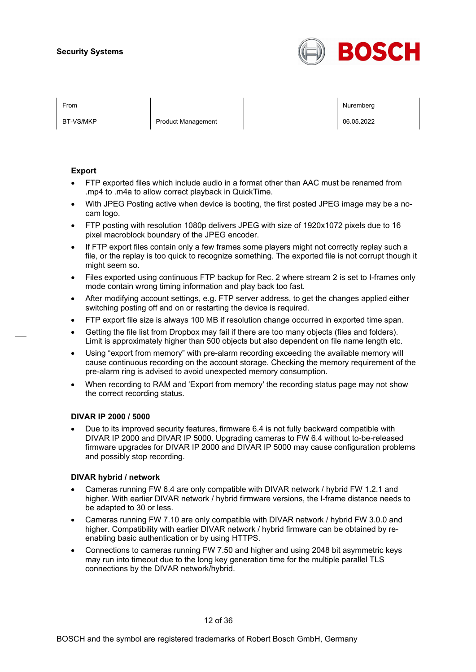

BT-VS/MKP Product Management Product Management Product Nanagement Product N

From the second contract of the second contract of the second contract of the second contract of the second contract of the second contract of the second contract of the second contract of the second contract of the second

#### **Export**

- FTP exported files which include audio in a format other than AAC must be renamed from .mp4 to .m4a to allow correct playback in QuickTime.
- With JPEG Posting active when device is booting, the first posted JPEG image may be a nocam logo.
- FTP posting with resolution 1080p delivers JPEG with size of 1920x1072 pixels due to 16 pixel macroblock boundary of the JPEG encoder.
- If FTP export files contain only a few frames some players might not correctly replay such a file, or the replay is too quick to recognize something. The exported file is not corrupt though it might seem so.
- Files exported using continuous FTP backup for Rec. 2 where stream 2 is set to I-frames only mode contain wrong timing information and play back too fast.
- After modifying account settings, e.g. FTP server address, to get the changes applied either switching posting off and on or restarting the device is required.
- FTP export file size is always 100 MB if resolution change occurred in exported time span.
- Getting the file list from Dropbox may fail if there are too many objects (files and folders). Limit is approximately higher than 500 objects but also dependent on file name length etc.
- Using "export from memory" with pre-alarm recording exceeding the available memory will cause continuous recording on the account storage. Checking the memory requirement of the pre-alarm ring is advised to avoid unexpected memory consumption.
- When recording to RAM and 'Export from memory' the recording status page may not show the correct recording status.

#### **DIVAR IP 2000 / 5000**

• Due to its improved security features, firmware 6.4 is not fully backward compatible with DIVAR IP 2000 and DIVAR IP 5000. Upgrading cameras to FW 6.4 without to-be-released firmware upgrades for DIVAR IP 2000 and DIVAR IP 5000 may cause configuration problems and possibly stop recording.

#### **DIVAR hybrid / network**

- Cameras running FW 6.4 are only compatible with DIVAR network / hybrid FW 1.2.1 and higher. With earlier DIVAR network / hybrid firmware versions, the I-frame distance needs to be adapted to 30 or less.
- Cameras running FW 7.10 are only compatible with DIVAR network / hybrid FW 3.0.0 and higher. Compatibility with earlier DIVAR network / hybrid firmware can be obtained by reenabling basic authentication or by using HTTPS.
- Connections to cameras running FW 7.50 and higher and using 2048 bit asymmetric keys may run into timeout due to the long key generation time for the multiple parallel TLS connections by the DIVAR network/hybrid.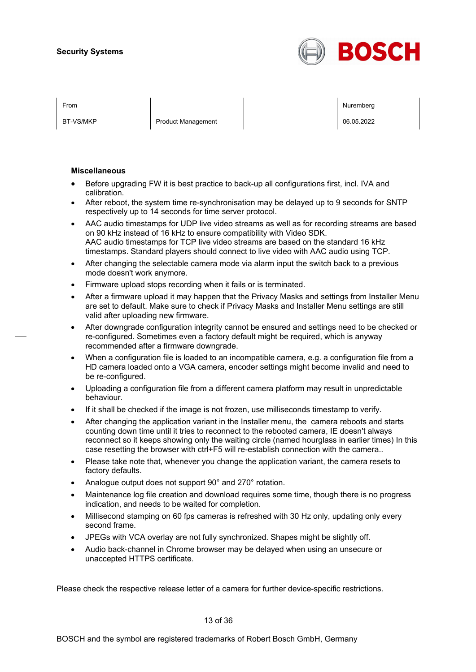

BT-VS/MKP Product Management 06.05.2022

From the second contract of the second contract of the second contract of the second contract of the second contract of the second contract of the second contract of the second contract of the second contract of the second

#### **Miscellaneous**

- Before upgrading FW it is best practice to back-up all configurations first, incl. IVA and calibration.
- After reboot, the system time re-synchronisation may be delayed up to 9 seconds for SNTP respectively up to 14 seconds for time server protocol.
- AAC audio timestamps for UDP live video streams as well as for recording streams are based on 90 kHz instead of 16 kHz to ensure compatibility with Video SDK. AAC audio timestamps for TCP live video streams are based on the standard 16 kHz timestamps. Standard players should connect to live video with AAC audio using TCP.
- After changing the selectable camera mode via alarm input the switch back to a previous mode doesn't work anymore.
- Firmware upload stops recording when it fails or is terminated.
- After a firmware upload it may happen that the Privacy Masks and settings from Installer Menu are set to default. Make sure to check if Privacy Masks and Installer Menu settings are still valid after uploading new firmware.
- After downgrade configuration integrity cannot be ensured and settings need to be checked or re-configured. Sometimes even a factory default might be required, which is anyway recommended after a firmware downgrade.
- When a configuration file is loaded to an incompatible camera, e.g. a configuration file from a HD camera loaded onto a VGA camera, encoder settings might become invalid and need to be re-configured.
- Uploading a configuration file from a different camera platform may result in unpredictable behaviour.
- If it shall be checked if the image is not frozen, use milliseconds timestamp to verify.
- After changing the application variant in the Installer menu, the camera reboots and starts counting down time until it tries to reconnect to the rebooted camera, IE doesn't always reconnect so it keeps showing only the waiting circle (named hourglass in earlier times) In this case resetting the browser with ctrl+F5 will re-establish connection with the camera..
- Please take note that, whenever you change the application variant, the camera resets to factory defaults.
- Analogue output does not support 90° and 270° rotation.
- Maintenance log file creation and download requires some time, though there is no progress indication, and needs to be waited for completion.
- Millisecond stamping on 60 fps cameras is refreshed with 30 Hz only, updating only every second frame.
- JPEGs with VCA overlay are not fully synchronized. Shapes might be slightly off.
- Audio back-channel in Chrome browser may be delayed when using an unsecure or unaccepted HTTPS certificate.

Please check the respective release letter of a camera for further device-specific restrictions.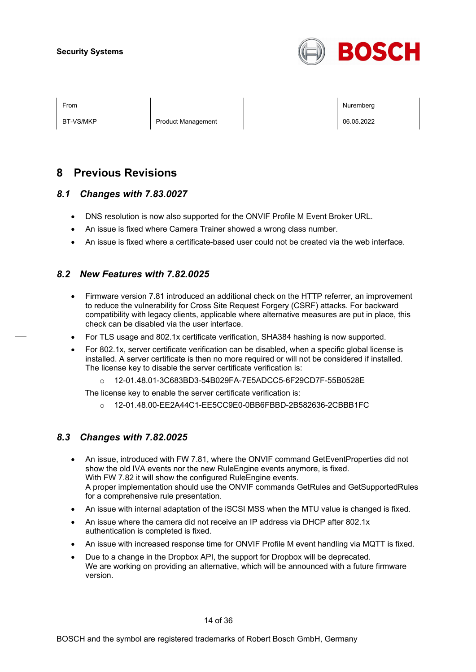

BT-VS/MKP Product Management 06.05.2022

From the second contract of the second contract of the second contract of the second contract of the second contract of the second contract of the second contract of the second contract of the second contract of the second

## **8 Previous Revisions**

## *8.1 Changes with 7.83.0027*

- DNS resolution is now also supported for the ONVIF Profile M Event Broker URL.
- An issue is fixed where Camera Trainer showed a wrong class number.
- An issue is fixed where a certificate-based user could not be created via the web interface.

## *8.2 New Features with 7.82.0025*

- Firmware version 7.81 introduced an additional check on the HTTP referrer, an improvement to reduce the vulnerability for Cross Site Request Forgery (CSRF) attacks. For backward compatibility with legacy clients, applicable where alternative measures are put in place, this check can be disabled via the user interface.
- For TLS usage and 802.1x certificate verification, SHA384 hashing is now supported.
- For 802.1x, server certificate verification can be disabled, when a specific global license is installed. A server certificate is then no more required or will not be considered if installed. The license key to disable the server certificate verification is:
	- o 12-01.48.01-3C683BD3-54B029FA-7E5ADCC5-6F29CD7F-55B0528E

The license key to enable the server certificate verification is:

o 12-01.48.00-EE2A44C1-EE5CC9E0-0BB6FBBD-2B582636-2CBBB1FC

## *8.3 Changes with 7.82.0025*

- An issue, introduced with FW 7.81, where the ONVIF command GetEventProperties did not show the old IVA events nor the new RuleEngine events anymore, is fixed. With FW 7.82 it will show the configured RuleEngine events. A proper implementation should use the ONVIF commands GetRules and GetSupportedRules for a comprehensive rule presentation.
- An issue with internal adaptation of the iSCSI MSS when the MTU value is changed is fixed.
- An issue where the camera did not receive an IP address via DHCP after 802.1x authentication is completed is fixed.
- An issue with increased response time for ONVIF Profile M event handling via MQTT is fixed.
- Due to a change in the Dropbox API, the support for Dropbox will be deprecated. We are working on providing an alternative, which will be announced with a future firmware version.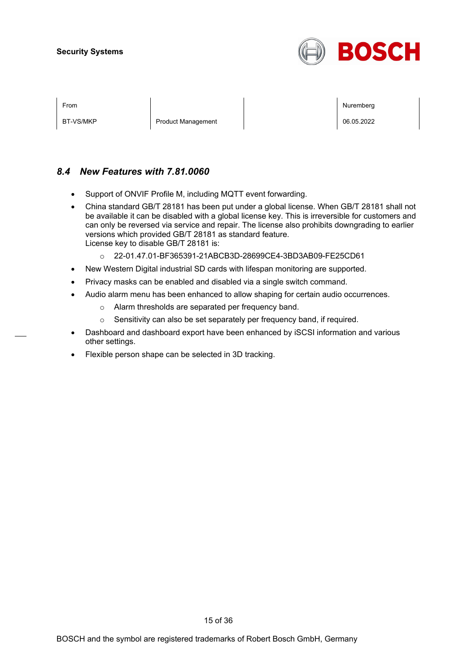

BT-VS/MKP Product Management 06.05.2022

From the second contract of the second contract of the second contract of the second contract of the second contract of the second contract of the second contract of the second contract of the second contract of the second

## *8.4 New Features with 7.81.0060*

- Support of ONVIF Profile M, including MQTT event forwarding.
- China standard GB/T 28181 has been put under a global license. When GB/T 28181 shall not be available it can be disabled with a global license key. This is irreversible for customers and can only be reversed via service and repair. The license also prohibits downgrading to earlier versions which provided GB/T 28181 as standard feature. License key to disable GB/T 28181 is:
	- o 22-01.47.01-BF365391-21ABCB3D-28699CE4-3BD3AB09-FE25CD61
- New Western Digital industrial SD cards with lifespan monitoring are supported.
- Privacy masks can be enabled and disabled via a single switch command.
- Audio alarm menu has been enhanced to allow shaping for certain audio occurrences.
	- o Alarm thresholds are separated per frequency band.
	- o Sensitivity can also be set separately per frequency band, if required.
- Dashboard and dashboard export have been enhanced by iSCSI information and various other settings.
- Flexible person shape can be selected in 3D tracking.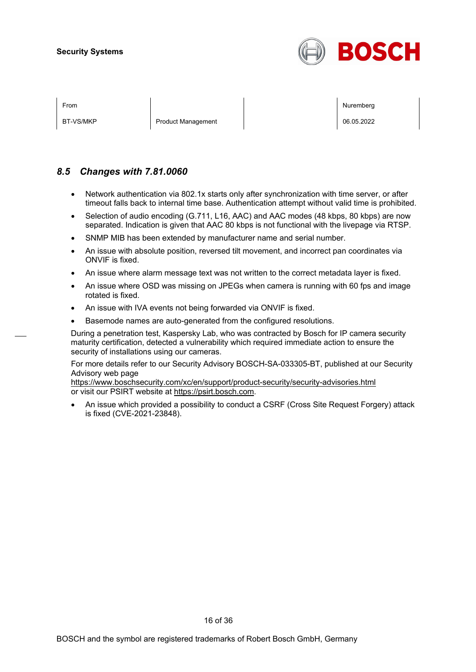

BT-VS/MKP Product Management Product Management Product Nanagement Product N

From the second contract of the second contract of the second contract of the second contract of the second contract of the second contract of the second contract of the second contract of the second contract of the second

## *8.5 Changes with 7.81.0060*

- Network authentication via 802.1x starts only after synchronization with time server, or after timeout falls back to internal time base. Authentication attempt without valid time is prohibited.
- Selection of audio encoding (G.711, L16, AAC) and AAC modes (48 kbps, 80 kbps) are now separated. Indication is given that AAC 80 kbps is not functional with the livepage via RTSP.
- SNMP MIB has been extended by manufacturer name and serial number.
- An issue with absolute position, reversed tilt movement, and incorrect pan coordinates via ONVIF is fixed.
- An issue where alarm message text was not written to the correct metadata layer is fixed.
- An issue where OSD was missing on JPEGs when camera is running with 60 fps and image rotated is fixed.
- An issue with IVA events not being forwarded via ONVIF is fixed.
- Basemode names are auto-generated from the configured resolutions.

During a penetration test, Kaspersky Lab, who was contracted by Bosch for IP camera security maturity certification, detected a vulnerability which required immediate action to ensure the security of installations using our cameras.

For more details refer to our Security Advisory BOSCH-SA-033305-BT, published at our Security Advisory web page

<https://www.boschsecurity.com/xc/en/support/product-security/security-advisories.html> or visit our PSIRT website at [https://psirt.bosch.com.](https://psirt.bosch.com/)

• An issue which provided a possibility to conduct a CSRF (Cross Site Request Forgery) attack is fixed (CVE-2021-23848).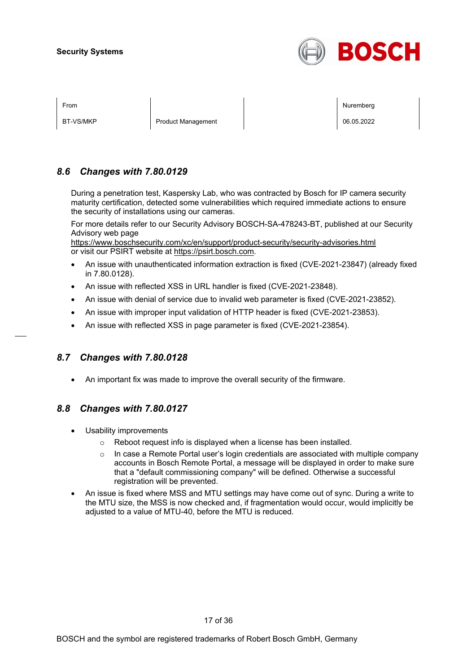

BT-VS/MKP Product Management Product Management Product Nanagement Product N

From the second contract of the second contract of the second contract of the second contract of the second contract of the second contract of the second contract of the second contract of the second contract of the second

## *8.6 Changes with 7.80.0129*

During a penetration test, Kaspersky Lab, who was contracted by Bosch for IP camera security maturity certification, detected some vulnerabilities which required immediate actions to ensure the security of installations using our cameras.

For more details refer to our Security Advisory BOSCH-SA-478243-BT, published at our Security Advisory web page

<https://www.boschsecurity.com/xc/en/support/product-security/security-advisories.html> or visit our PSIRT website at [https://psirt.bosch.com.](https://psirt.bosch.com/)

- An issue with unauthenticated information extraction is fixed (CVE-2021-23847) (already fixed in 7.80.0128).
- An issue with reflected XSS in URL handler is fixed (CVE-2021-23848).
- An issue with denial of service due to invalid web parameter is fixed (CVE-2021-23852).
- An issue with improper input validation of HTTP header is fixed (CVE-2021-23853).
- An issue with reflected XSS in page parameter is fixed (CVE-2021-23854).

## *8.7 Changes with 7.80.0128*

• An important fix was made to improve the overall security of the firmware.

## *8.8 Changes with 7.80.0127*

- Usability improvements
	- o Reboot request info is displayed when a license has been installed.
	- $\circ$  In case a Remote Portal user's login credentials are associated with multiple company accounts in Bosch Remote Portal, a message will be displayed in order to make sure that a "default commissioning company" will be defined. Otherwise a successful registration will be prevented.
- An issue is fixed where MSS and MTU settings may have come out of sync. During a write to the MTU size, the MSS is now checked and, if fragmentation would occur, would implicitly be adjusted to a value of MTU-40, before the MTU is reduced.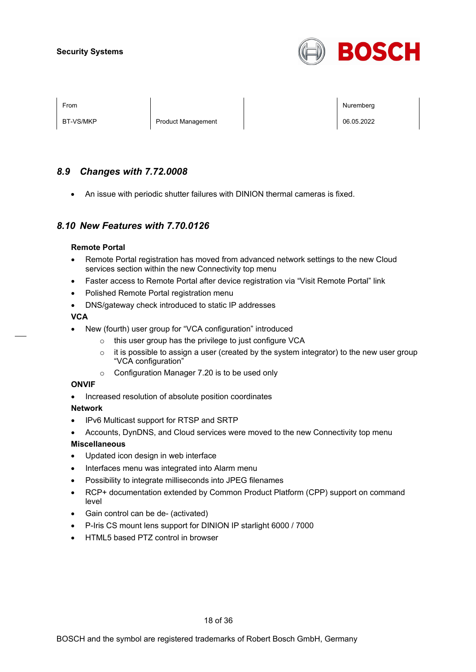

BT-VS/MKP Product Management Product Management Product Nanagement Product Nanagement Product Nanagement Product N

From Nuremberg (Nuremberg ) and the contract of the contract of the contract of the contract of the contract of the contract of the contract of the contract of the contract of the contract of the contract of the contract o

## *8.9 Changes with 7.72.0008*

• An issue with periodic shutter failures with DINION thermal cameras is fixed.

## *8.10 New Features with 7.70.0126*

#### **Remote Portal**

- Remote Portal registration has moved from advanced network settings to the new Cloud services section within the new Connectivity top menu
- Faster access to Remote Portal after device registration via "Visit Remote Portal" link
- Polished Remote Portal registration menu
- DNS/gateway check introduced to static IP addresses

#### **VCA**

- New (fourth) user group for "VCA configuration" introduced
	- o this user group has the privilege to just configure VCA
	- $\circ$  it is possible to assign a user (created by the system integrator) to the new user group "VCA configuration"
	- o Configuration Manager 7.20 is to be used only

#### **ONVIF**

• Increased resolution of absolute position coordinates

#### **Network**

- IPv6 Multicast support for RTSP and SRTP
- Accounts, DynDNS, and Cloud services were moved to the new Connectivity top menu

#### **Miscellaneous**

- Updated icon design in web interface
- Interfaces menu was integrated into Alarm menu
- Possibility to integrate milliseconds into JPEG filenames
- RCP+ documentation extended by Common Product Platform (CPP) support on command level
- Gain control can be de- (activated)
- P-Iris CS mount lens support for DINION IP starlight 6000 / 7000
- HTML5 based PTZ control in browser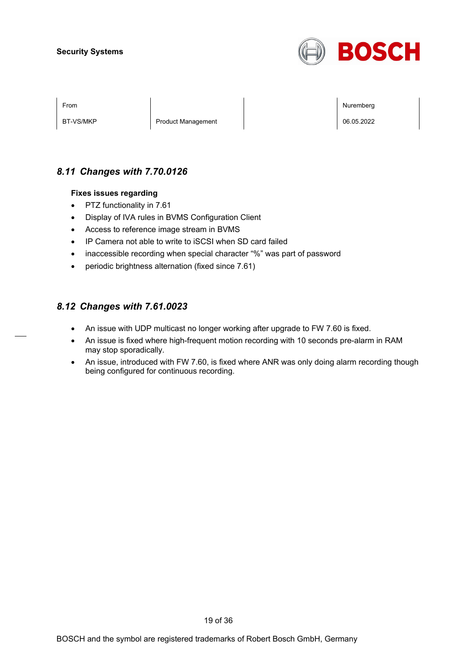

BT-VS/MKP Product Management Product Management Product National Product National Product Product National Pro

From Nuremberg (Nuremberg ) and the contract of the contract of the contract of the contract of the contract of the contract of the contract of the contract of the contract of the contract of the contract of the contract o

## *8.11 Changes with 7.70.0126*

#### **Fixes issues regarding**

- PTZ functionality in 7.61
- Display of IVA rules in BVMS Configuration Client
- Access to reference image stream in BVMS
- IP Camera not able to write to iSCSI when SD card failed
- inaccessible recording when special character "%" was part of password
- periodic brightness alternation (fixed since 7.61)

## *8.12 Changes with 7.61.0023*

- An issue with UDP multicast no longer working after upgrade to FW 7.60 is fixed.
- An issue is fixed where high-frequent motion recording with 10 seconds pre-alarm in RAM may stop sporadically.
- An issue, introduced with FW 7.60, is fixed where ANR was only doing alarm recording though being configured for continuous recording.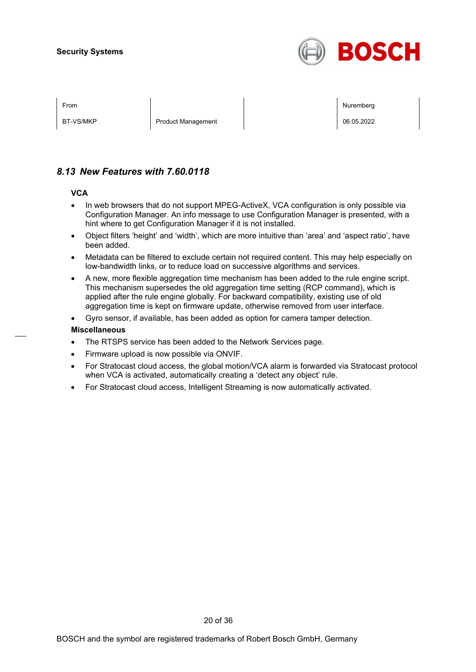

BT-VS/MKP Product Management Product Management Product Nanagement Product Nanagement Product Nanagement Product N

From Nuremberg (Nuremberg ) and the contract of the contract of the contract of the contract of the contract of the contract of the contract of the contract of the contract of the contract of the contract of the contract o

## *8.13 New Features with 7.60.0118*

#### **VCA**

- In web browsers that do not support MPEG-ActiveX, VCA configuration is only possible via Configuration Manager. An info message to use Configuration Manager is presented, with a hint where to get Configuration Manager if it is not installed.
- Object filters 'height' and 'width', which are more intuitive than 'area' and 'aspect ratio', have been added.
- Metadata can be filtered to exclude certain not required content. This may help especially on low-bandwidth links, or to reduce load on successive algorithms and services.
- A new, more flexible aggregation time mechanism has been added to the rule engine script. This mechanism supersedes the old aggregation time setting (RCP command), which is applied after the rule engine globally. For backward compatibility, existing use of old aggregation time is kept on firmware update, otherwise removed from user interface.
- Gyro sensor, if available, has been added as option for camera tamper detection.

#### **Miscellaneous**

- The RTSPS service has been added to the Network Services page.
- Firmware upload is now possible via ONVIF.
- For Stratocast cloud access, the global motion/VCA alarm is forwarded via Stratocast protocol when VCA is activated, automatically creating a 'detect any object' rule.
- For Stratocast cloud access, Intelligent Streaming is now automatically activated.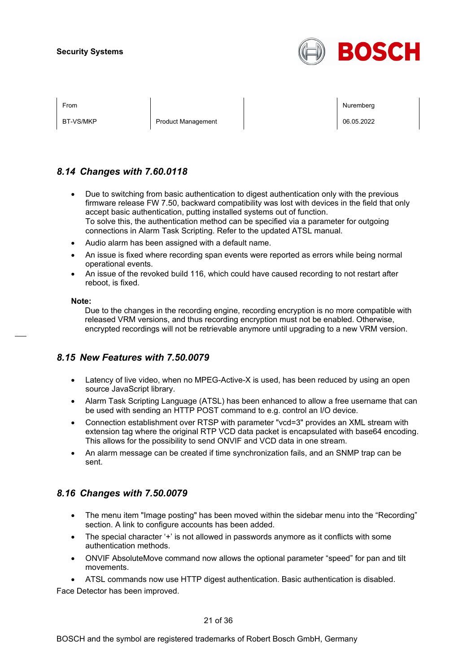

BT-VS/MKP Product Management Product Management Product Nanagement Product Nanagement Product Nanagement Product N

From Nuremberg (Nuremberg ) and the contract of the contract of the contract of the contract of the contract of the contract of the contract of the contract of the contract of the contract of the contract of the contract o

## *8.14 Changes with 7.60.0118*

- Due to switching from basic authentication to digest authentication only with the previous firmware release FW 7.50, backward compatibility was lost with devices in the field that only accept basic authentication, putting installed systems out of function. To solve this, the authentication method can be specified via a parameter for outgoing connections in Alarm Task Scripting. Refer to the updated ATSL manual.
- Audio alarm has been assigned with a default name.
- An issue is fixed where recording span events were reported as errors while being normal operational events.
- An issue of the revoked build 116, which could have caused recording to not restart after reboot, is fixed.

#### **Note:**

Due to the changes in the recording engine, recording encryption is no more compatible with released VRM versions, and thus recording encryption must not be enabled. Otherwise, encrypted recordings will not be retrievable anymore until upgrading to a new VRM version.

## *8.15 New Features with 7.50.0079*

- Latency of live video, when no MPEG-Active-X is used, has been reduced by using an open source JavaScript library.
- Alarm Task Scripting Language (ATSL) has been enhanced to allow a free username that can be used with sending an HTTP POST command to e.g. control an I/O device.
- Connection establishment over RTSP with parameter "vcd=3" provides an XML stream with extension tag where the original RTP VCD data packet is encapsulated with base64 encoding. This allows for the possibility to send ONVIF and VCD data in one stream.
- An alarm message can be created if time synchronization fails, and an SNMP trap can be sent.

## *8.16 Changes with 7.50.0079*

- The menu item "Image posting" has been moved within the sidebar menu into the "Recording" section. A link to configure accounts has been added.
- The special character '+' is not allowed in passwords anymore as it conflicts with some authentication methods.
- ONVIF AbsoluteMove command now allows the optional parameter "speed" for pan and tilt movements.

• ATSL commands now use HTTP digest authentication. Basic authentication is disabled. Face Detector has been improved.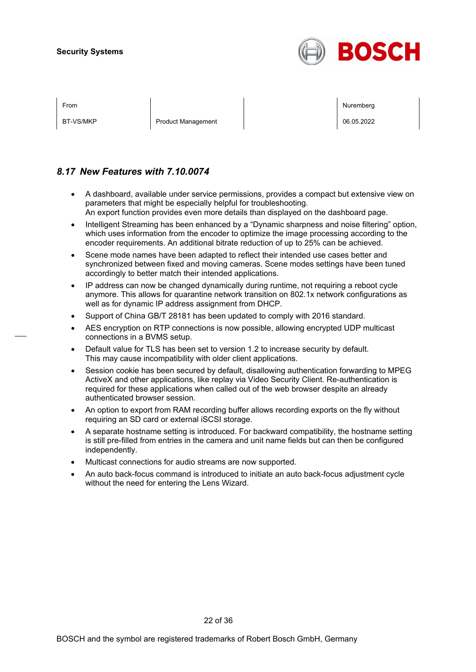

BT-VS/MKP Product Management Product Management Product Nanagement Product Nanagement Product Nanagement Product N

From Nuremberg (Nuremberg ) and the contract of the contract of the contract of the contract of the contract of the contract of the contract of the contract of the contract of the contract of the contract of the contract o

## *8.17 New Features with 7.10.0074*

- A dashboard, available under service permissions, provides a compact but extensive view on parameters that might be especially helpful for troubleshooting. An export function provides even more details than displayed on the dashboard page.
- Intelligent Streaming has been enhanced by a "Dynamic sharpness and noise filtering" option, which uses information from the encoder to optimize the image processing according to the encoder requirements. An additional bitrate reduction of up to 25% can be achieved.
- Scene mode names have been adapted to reflect their intended use cases better and synchronized between fixed and moving cameras. Scene modes settings have been tuned accordingly to better match their intended applications.
- IP address can now be changed dynamically during runtime, not requiring a reboot cycle anymore. This allows for quarantine network transition on 802.1x network configurations as well as for dynamic IP address assignment from DHCP.
- Support of China GB/T 28181 has been updated to comply with 2016 standard.
- AES encryption on RTP connections is now possible, allowing encrypted UDP multicast connections in a BVMS setup.
- Default value for TLS has been set to version 1.2 to increase security by default. This may cause incompatibility with older client applications.
- Session cookie has been secured by default, disallowing authentication forwarding to MPEG ActiveX and other applications, like replay via Video Security Client. Re-authentication is required for these applications when called out of the web browser despite an already authenticated browser session.
- An option to export from RAM recording buffer allows recording exports on the fly without requiring an SD card or external iSCSI storage.
- A separate hostname setting is introduced. For backward compatibility, the hostname setting is still pre-filled from entries in the camera and unit name fields but can then be configured independently.
- Multicast connections for audio streams are now supported.
- An auto back-focus command is introduced to initiate an auto back-focus adjustment cycle without the need for entering the Lens Wizard.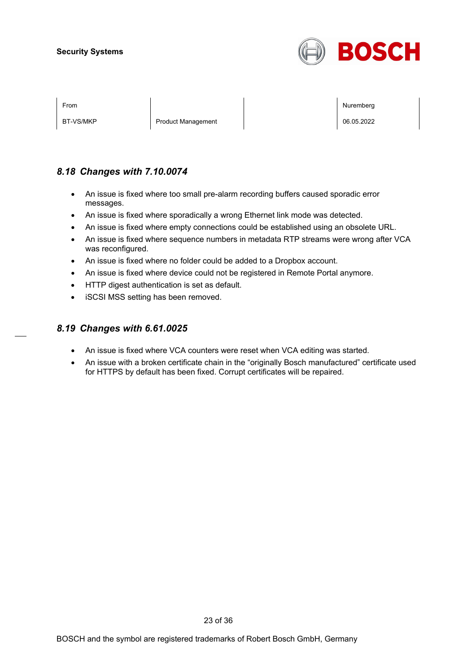

BT-VS/MKP Product Management Product Management Product National Product National Product Product National Pro

From Nuremberg (Nuremberg ) and the contract of the contract of the contract of the contract of the contract of the contract of the contract of the contract of the contract of the contract of the contract of the contract o

## *8.18 Changes with 7.10.0074*

- An issue is fixed where too small pre-alarm recording buffers caused sporadic error messages.
- An issue is fixed where sporadically a wrong Ethernet link mode was detected.
- An issue is fixed where empty connections could be established using an obsolete URL.
- An issue is fixed where sequence numbers in metadata RTP streams were wrong after VCA was reconfigured.
- An issue is fixed where no folder could be added to a Dropbox account.
- An issue is fixed where device could not be registered in Remote Portal anymore.
- HTTP digest authentication is set as default.
- iSCSI MSS setting has been removed.

## *8.19 Changes with 6.61.0025*

- An issue is fixed where VCA counters were reset when VCA editing was started.
- An issue with a broken certificate chain in the "originally Bosch manufactured" certificate used for HTTPS by default has been fixed. Corrupt certificates will be repaired.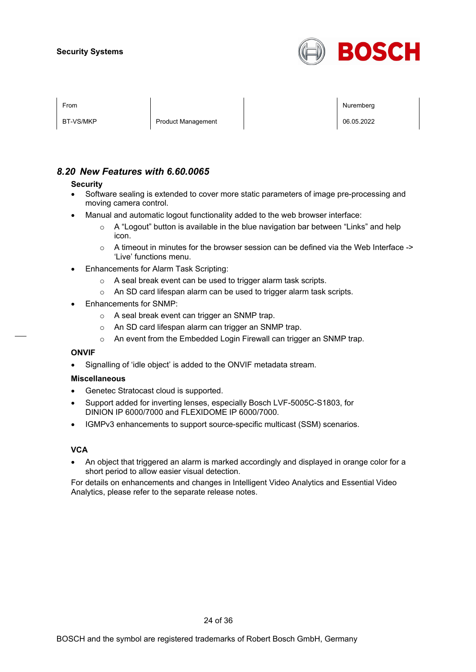

| гічін |  |
|-------|--|
|       |  |
|       |  |
|       |  |

BT-VS/MKP Product Management Product Management Product Nanagement Product Nanagement Product Nanagement Product N

From Nuremberg (Nuremberg ) and the contract of the contract of the contract of the contract of the contract of the contract of the contract of the contract of the contract of the contract of the contract of the contract o

## *8.20 New Features with 6.60.0065*

#### **Security**

- Software sealing is extended to cover more static parameters of image pre-processing and moving camera control.
- Manual and automatic logout functionality added to the web browser interface:
	- o A "Logout" button is available in the blue navigation bar between "Links" and help icon.
	- $\circ$  A timeout in minutes for the browser session can be defined via the Web Interface -> 'Live' functions menu.
- Enhancements for Alarm Task Scripting:
	- o A seal break event can be used to trigger alarm task scripts.
	- o An SD card lifespan alarm can be used to trigger alarm task scripts.
- Enhancements for SNMP:
	- o A seal break event can trigger an SNMP trap.
	- o An SD card lifespan alarm can trigger an SNMP trap.
	- o An event from the Embedded Login Firewall can trigger an SNMP trap.

#### **ONVIF**

• Signalling of 'idle object' is added to the ONVIF metadata stream.

#### **Miscellaneous**

- Genetec Stratocast cloud is supported.
- Support added for inverting lenses, especially Bosch LVF-5005C-S1803, for DINION IP 6000/7000 and FLEXIDOME IP 6000/7000.
- IGMPv3 enhancements to support source-specific multicast (SSM) scenarios.

#### **VCA**

• An object that triggered an alarm is marked accordingly and displayed in orange color for a short period to allow easier visual detection.

For details on enhancements and changes in Intelligent Video Analytics and Essential Video Analytics, please refer to the separate release notes.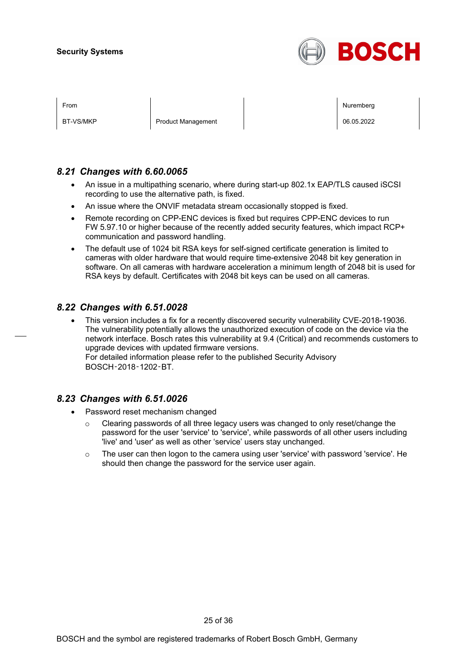

| ⊢rom |  |
|------|--|
|      |  |
|      |  |

BT-VS/MKP Product Management Product Management Product Nanagement Product Nanagement Product Nanagement Product N

From Nuremberg (Nuremberg ) and the contract of the contract of the contract of the contract of the contract of the contract of the contract of the contract of the contract of the contract of the contract of the contract o

## *8.21 Changes with 6.60.0065*

- An issue in a multipathing scenario, where during start-up 802.1x EAP/TLS caused iSCSI recording to use the alternative path, is fixed.
- An issue where the ONVIF metadata stream occasionally stopped is fixed.
- Remote recording on CPP-ENC devices is fixed but requires CPP-ENC devices to run FW 5.97.10 or higher because of the recently added security features, which impact RCP+ communication and password handling.
- The default use of 1024 bit RSA keys for self-signed certificate generation is limited to cameras with older hardware that would require time-extensive 2048 bit key generation in software. On all cameras with hardware acceleration a minimum length of 2048 bit is used for RSA keys by default. Certificates with 2048 bit keys can be used on all cameras.

## *8.22 Changes with 6.51.0028*

• This version includes a fix for a recently discovered security vulnerability CVE-2018-19036. The vulnerability potentially allows the unauthorized execution of code on the device via the network interface. Bosch rates this vulnerability at 9.4 (Critical) and recommends customers to upgrade devices with updated firmware versions. For detailed information please refer to the published Security Advisory BOSCH‑2018‑1202‑BT.

## *8.23 Changes with 6.51.0026*

- Password reset mechanism changed
	- $\circ$  Clearing passwords of all three legacy users was changed to only reset/change the password for the user 'service' to 'service', while passwords of all other users including 'live' and 'user' as well as other 'service' users stay unchanged.
	- $\circ$  The user can then logon to the camera using user 'service' with password 'service'. He should then change the password for the service user again.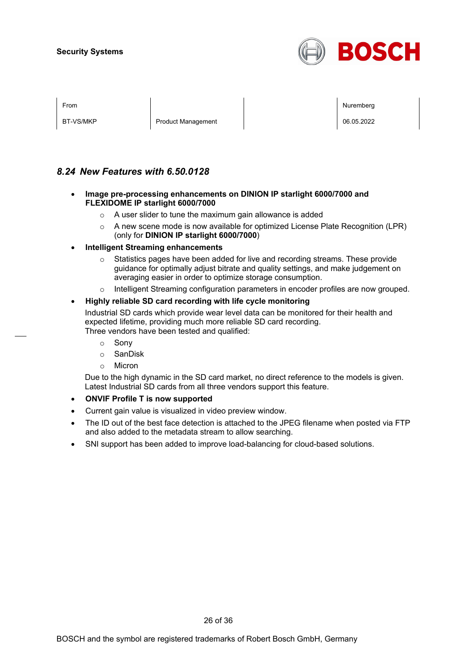

| <b>From</b> |  |
|-------------|--|
|             |  |

BT-VS/MKP Product Management Product Management Product Nanagement Product Nanagement Product Nanagement Product N

From Nuremberg (Nuremberg ) and the contract of the contract of the contract of the contract of the contract of the contract of the contract of the contract of the contract of the contract of the contract of the contract o

## *8.24 New Features with 6.50.0128*

- **Image pre-processing enhancements on DINION IP starlight 6000/7000 and FLEXIDOME IP starlight 6000/7000**
	- o A user slider to tune the maximum gain allowance is added
	- $\circ$  A new scene mode is now available for optimized License Plate Recognition (LPR) (only for **DINION IP starlight 6000/7000**)
- **Intelligent Streaming enhancements**
	- $\circ$  Statistics pages have been added for live and recording streams. These provide guidance for optimally adjust bitrate and quality settings, and make judgement on averaging easier in order to optimize storage consumption.
	- o Intelligent Streaming configuration parameters in encoder profiles are now grouped.

#### • **Highly reliable SD card recording with life cycle monitoring**

Industrial SD cards which provide wear level data can be monitored for their health and expected lifetime, providing much more reliable SD card recording. Three vendors have been tested and qualified:

- o Sony
- o SanDisk
- o Micron

Due to the high dynamic in the SD card market, no direct reference to the models is given. Latest Industrial SD cards from all three vendors support this feature.

- **ONVIF Profile T is now supported**
- Current gain value is visualized in video preview window.
- The ID out of the best face detection is attached to the JPEG filename when posted via FTP and also added to the metadata stream to allow searching.
- SNI support has been added to improve load-balancing for cloud-based solutions.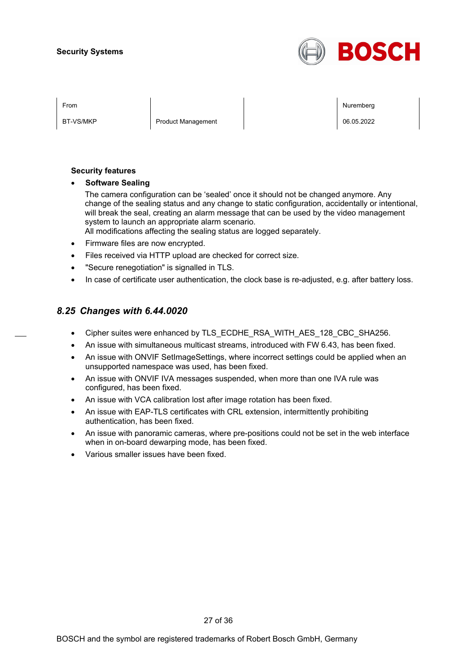

BT-VS/MKP Product Management Product Management Product Nanagement Product N

From Nuremberg (Nuremberg ) and the contract of the contract of the contract of the contract of the contract of the contract of the contract of the contract of the contract of the contract of the contract of the contract o

#### **Security features**

• **Software Sealing**

The camera configuration can be 'sealed' once it should not be changed anymore. Any change of the sealing status and any change to static configuration, accidentally or intentional, will break the seal, creating an alarm message that can be used by the video management system to launch an appropriate alarm scenario.

All modifications affecting the sealing status are logged separately.

- Firmware files are now encrypted.
- Files received via HTTP upload are checked for correct size.
- "Secure renegotiation" is signalled in TLS.
- In case of certificate user authentication, the clock base is re-adjusted, e.g. after battery loss.

## *8.25 Changes with 6.44.0020*

- Cipher suites were enhanced by TLS\_ECDHE\_RSA\_WITH\_AES\_128\_CBC\_SHA256.
- An issue with simultaneous multicast streams, introduced with FW 6.43, has been fixed.
- An issue with ONVIF SetImageSettings, where incorrect settings could be applied when an unsupported namespace was used, has been fixed.
- An issue with ONVIF IVA messages suspended, when more than one IVA rule was configured, has been fixed.
- An issue with VCA calibration lost after image rotation has been fixed.
- An issue with EAP-TLS certificates with CRL extension, intermittently prohibiting authentication, has been fixed.
- An issue with panoramic cameras, where pre-positions could not be set in the web interface when in on-board dewarping mode, has been fixed.
- Various smaller issues have been fixed.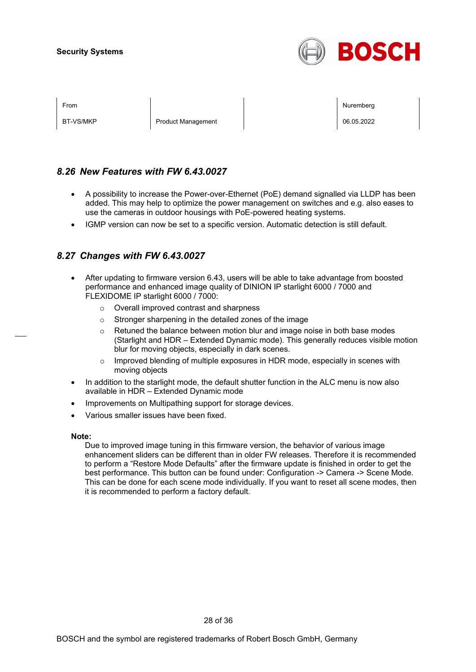

BT-VS/MKP Product Management Product Management Product National Product National Product Product National Product National Product National Product National Product National Product National Product National Product Natio

From Nuremberg (Nuremberg ) and the contract of the contract of the contract of the contract of the contract of the contract of the contract of the contract of the contract of the contract of the contract of the contract o

## *8.26 New Features with FW 6.43.0027*

- A possibility to increase the Power-over-Ethernet (PoE) demand signalled via LLDP has been added. This may help to optimize the power management on switches and e.g. also eases to use the cameras in outdoor housings with PoE-powered heating systems.
- IGMP version can now be set to a specific version. Automatic detection is still default.

## *8.27 Changes with FW 6.43.0027*

- After updating to firmware version 6.43, users will be able to take advantage from boosted performance and enhanced image quality of DINION IP starlight 6000 / 7000 and FLEXIDOME IP starlight 6000 / 7000:
	- o Overall improved contrast and sharpness
	- o Stronger sharpening in the detailed zones of the image
	- $\circ$  Retuned the balance between motion blur and image noise in both base modes (Starlight and HDR – Extended Dynamic mode). This generally reduces visible motion blur for moving objects, especially in dark scenes.
	- $\circ$  Improved blending of multiple exposures in HDR mode, especially in scenes with moving objects
- In addition to the starlight mode, the default shutter function in the ALC menu is now also available in HDR – Extended Dynamic mode
- Improvements on Multipathing support for storage devices.
- Various smaller issues have been fixed.

#### **Note:**

Due to improved image tuning in this firmware version, the behavior of various image enhancement sliders can be different than in older FW releases. Therefore it is recommended to perform a "Restore Mode Defaults" after the firmware update is finished in order to get the best performance. This button can be found under: Configuration -> Camera -> Scene Mode. This can be done for each scene mode individually. If you want to reset all scene modes, then it is recommended to perform a factory default.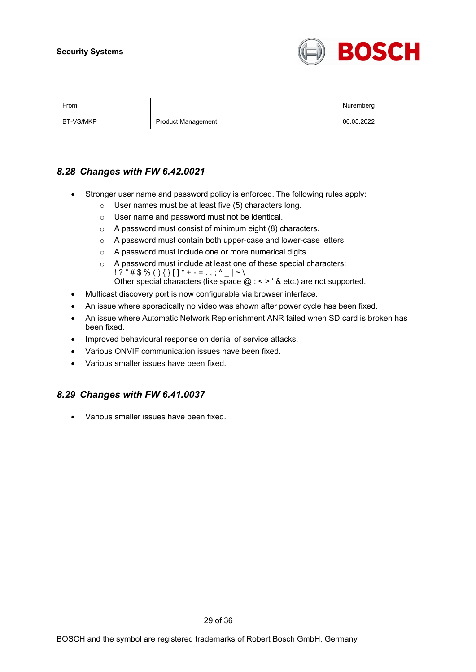

BT-VS/MKP Product Management 06.05.2022

From Nuremberg (Nuremberg ) and the contract of the contract of the contract of the contract of the contract of the contract of the contract of the contract of the contract of the contract of the contract of the contract o

## *8.28 Changes with FW 6.42.0021*

- Stronger user name and password policy is enforced. The following rules apply:
	- o User names must be at least five (5) characters long.
	- o User name and password must not be identical.
	- o A password must consist of minimum eight (8) characters.
	- o A password must contain both upper-case and lower-case letters.
	- o A password must include one or more numerical digits.
	- o A password must include at least one of these special characters:  $! ? " \# \$ \% () \{ \} [ ] * + - = . , ; ^ {\wedge} \_ | \sim \backslash$ Other special characters (like space  $@:<>$  ' & etc.) are not supported.
- Multicast discovery port is now configurable via browser interface.
- An issue where sporadically no video was shown after power cycle has been fixed.
- An issue where Automatic Network Replenishment ANR failed when SD card is broken has been fixed.
- Improved behavioural response on denial of service attacks.
- Various ONVIF communication issues have been fixed.
- Various smaller issues have been fixed.

## *8.29 Changes with FW 6.41.0037*

• Various smaller issues have been fixed.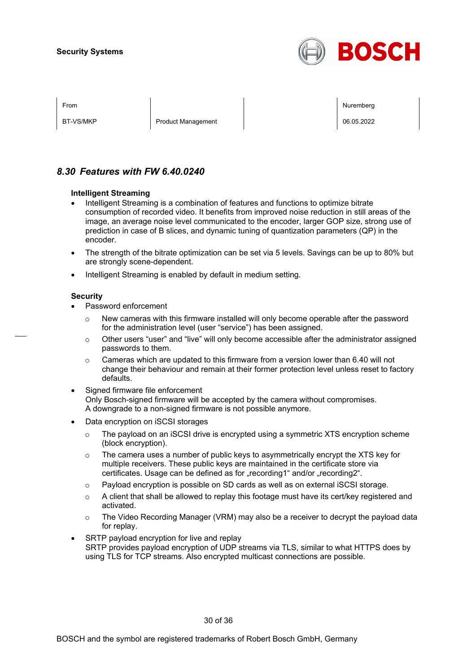

BT-VS/MKP Product Management Product Management Product Nanagement Product Nanagement Product Nanagement Product N

From Nuremberg (Nuremberg ) and the contract of the contract of the contract of the contract of the contract of the contract of the contract of the contract of the contract of the contract of the contract of the contract o

## *8.30 Features with FW 6.40.0240*

#### **Intelligent Streaming**

- Intelligent Streaming is a combination of features and functions to optimize bitrate consumption of recorded video. It benefits from improved noise reduction in still areas of the image, an average noise level communicated to the encoder, larger GOP size, strong use of prediction in case of B slices, and dynamic tuning of quantization parameters (QP) in the encoder.
- The strength of the bitrate optimization can be set via 5 levels. Savings can be up to 80% but are strongly scene-dependent.
- Intelligent Streaming is enabled by default in medium setting.

#### **Security**

- Password enforcement
	- $\circ$  New cameras with this firmware installed will only become operable after the password for the administration level (user "service") has been assigned.
	- o Other users "user" and "live" will only become accessible after the administrator assigned passwords to them.
	- $\circ$  Cameras which are updated to this firmware from a version lower than 6.40 will not change their behaviour and remain at their former protection level unless reset to factory defaults.
- Signed firmware file enforcement Only Bosch-signed firmware will be accepted by the camera without compromises. A downgrade to a non-signed firmware is not possible anymore.
- Data encryption on iSCSI storages
	- $\circ$  The payload on an iSCSI drive is encrypted using a symmetric XTS encryption scheme (block encryption).
	- $\circ$  The camera uses a number of public keys to asymmetrically encrypt the XTS key for multiple receivers. These public keys are maintained in the certificate store via certificates. Usage can be defined as for "recording1" and/or "recording2".
	- $\circ$  Payload encryption is possible on SD cards as well as on external iSCSI storage.
	- $\circ$  A client that shall be allowed to replay this footage must have its cert/key registered and activated.
	- $\circ$  The Video Recording Manager (VRM) may also be a receiver to decrypt the payload data for replay.
- SRTP payload encryption for live and replay SRTP provides payload encryption of UDP streams via TLS, similar to what HTTPS does by using TLS for TCP streams. Also encrypted multicast connections are possible.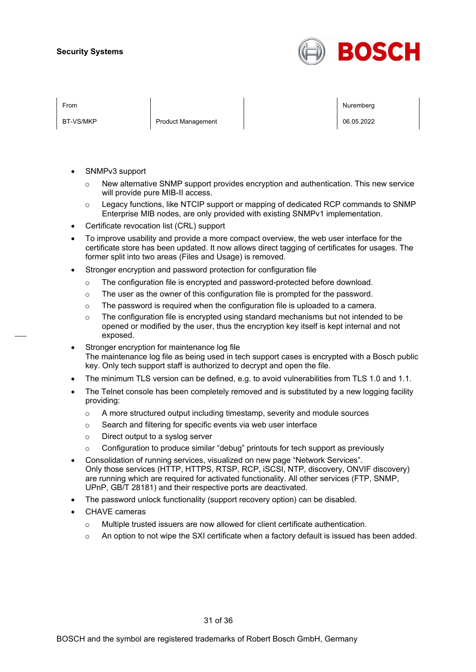

BT-VS/MKP Product Management Product Management Product Nanagement Product N

From Nuremberg (Nuremberg ) and the contract of the contract of the contract of the contract of the contract of the contract of the contract of the contract of the contract of the contract of the contract of the contract o

- SNMPv3 support
	- $\circ$  New alternative SNMP support provides encryption and authentication. This new service will provide pure MIB-II access.
	- $\circ$  Legacy functions, like NTCIP support or mapping of dedicated RCP commands to SNMP Enterprise MIB nodes, are only provided with existing SNMPv1 implementation.
- Certificate revocation list (CRL) support
- To improve usability and provide a more compact overview, the web user interface for the certificate store has been updated. It now allows direct tagging of certificates for usages. The former split into two areas (Files and Usage) is removed.
- Stronger encryption and password protection for configuration file
	- $\circ$  The configuration file is encrypted and password-protected before download.
	- $\circ$  The user as the owner of this configuration file is prompted for the password.
	- o The password is required when the configuration file is uploaded to a camera.
	- $\circ$  The configuration file is encrypted using standard mechanisms but not intended to be opened or modified by the user, thus the encryption key itself is kept internal and not exposed.
- Stronger encryption for maintenance log file The maintenance log file as being used in tech support cases is encrypted with a Bosch public key. Only tech support staff is authorized to decrypt and open the file.
- The minimum TLS version can be defined, e.g. to avoid vulnerabilities from TLS 1.0 and 1.1.
- The Telnet console has been completely removed and is substituted by a new logging facility providing:
	- o A more structured output including timestamp, severity and module sources
	- o Search and filtering for specific events via web user interface
	- o Direct output to a syslog server
	- $\circ$  Configuration to produce similar "debug" printouts for tech support as previously
- Consolidation of running services, visualized on new page "Network Services". Only those services (HTTP, HTTPS, RTSP, RCP, iSCSI, NTP, discovery, ONVIF discovery) are running which are required for activated functionality. All other services (FTP, SNMP, UPnP, GB/T 28181) and their respective ports are deactivated.
- The password unlock functionality (support recovery option) can be disabled.
- CHAVE cameras
	- $\circ$  Multiple trusted issuers are now allowed for client certificate authentication.
	- $\circ$  An option to not wipe the SXI certificate when a factory default is issued has been added.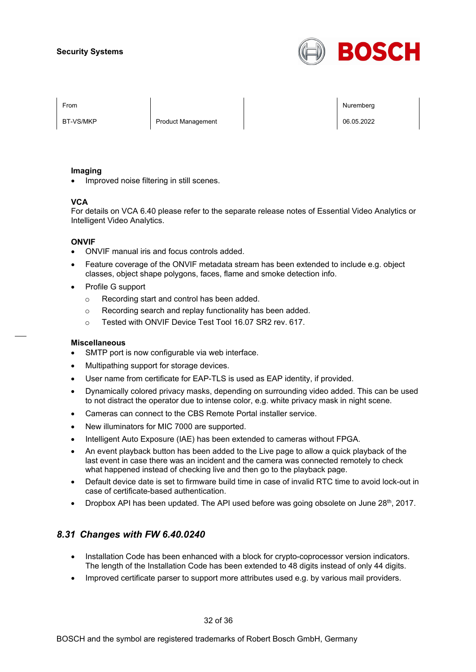

BT-VS/MKP Product Management Product Management Product Nanagement Product N

From Nuremberg (Nuremberg ) and the contract of the contract of the contract of the contract of the contract of the contract of the contract of the contract of the contract of the contract of the contract of the contract o

#### **Imaging**

• Improved noise filtering in still scenes.

#### **VCA**

For details on VCA 6.40 please refer to the separate release notes of Essential Video Analytics or Intelligent Video Analytics.

#### **ONVIF**

- ONVIF manual iris and focus controls added.
- Feature coverage of the ONVIF metadata stream has been extended to include e.g. object classes, object shape polygons, faces, flame and smoke detection info.
- Profile G support
	- o Recording start and control has been added.
	- o Recording search and replay functionality has been added.
	- o Tested with ONVIF Device Test Tool 16.07 SR2 rev. 617.

#### **Miscellaneous**

- SMTP port is now configurable via web interface.
- Multipathing support for storage devices.
- User name from certificate for EAP-TLS is used as EAP identity, if provided.
- Dynamically colored privacy masks, depending on surrounding video added. This can be used to not distract the operator due to intense color, e.g. white privacy mask in night scene.
- Cameras can connect to the CBS Remote Portal installer service.
- New illuminators for MIC 7000 are supported.
- Intelligent Auto Exposure (IAE) has been extended to cameras without FPGA.
- An event playback button has been added to the Live page to allow a quick playback of the last event in case there was an incident and the camera was connected remotely to check what happened instead of checking live and then go to the playback page.
- Default device date is set to firmware build time in case of invalid RTC time to avoid lock-out in case of certificate-based authentication.
- Dropbox API has been updated. The API used before was going obsolete on June  $28<sup>th</sup>$ , 2017.

## *8.31 Changes with FW 6.40.0240*

- Installation Code has been enhanced with a block for crypto-coprocessor version indicators. The length of the Installation Code has been extended to 48 digits instead of only 44 digits.
- Improved certificate parser to support more attributes used e.g. by various mail providers.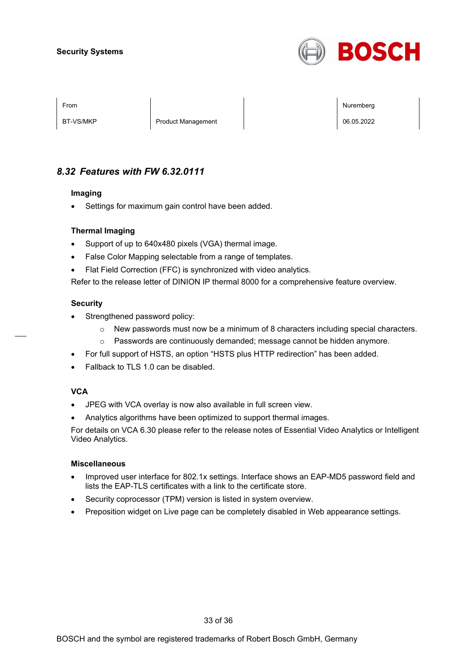

BT-VS/MKP Product Management Product Management Product Nanagement Product Nanagement Product Nanagement Product N

From Nuremberg (Nuremberg ) and the contract of the contract of the contract of the contract of the contract of the contract of the contract of the contract of the contract of the contract of the contract of the contract o

## *8.32 Features with FW 6.32.0111*

#### **Imaging**

• Settings for maximum gain control have been added.

#### **Thermal Imaging**

- Support of up to 640x480 pixels (VGA) thermal image.
- False Color Mapping selectable from a range of templates.
- Flat Field Correction (FFC) is synchronized with video analytics.

Refer to the release letter of DINION IP thermal 8000 for a comprehensive feature overview.

#### **Security**

- Strengthened password policy:
	- $\circ$  New passwords must now be a minimum of 8 characters including special characters.
	- o Passwords are continuously demanded; message cannot be hidden anymore.
- For full support of HSTS, an option "HSTS plus HTTP redirection" has been added.
- Fallback to TLS 1.0 can be disabled.

#### **VCA**

- JPEG with VCA overlay is now also available in full screen view.
- Analytics algorithms have been optimized to support thermal images.

For details on VCA 6.30 please refer to the release notes of Essential Video Analytics or Intelligent Video Analytics.

#### **Miscellaneous**

- Improved user interface for 802.1x settings. Interface shows an EAP-MD5 password field and lists the EAP-TLS certificates with a link to the certificate store.
- Security coprocessor (TPM) version is listed in system overview.
- Preposition widget on Live page can be completely disabled in Web appearance settings.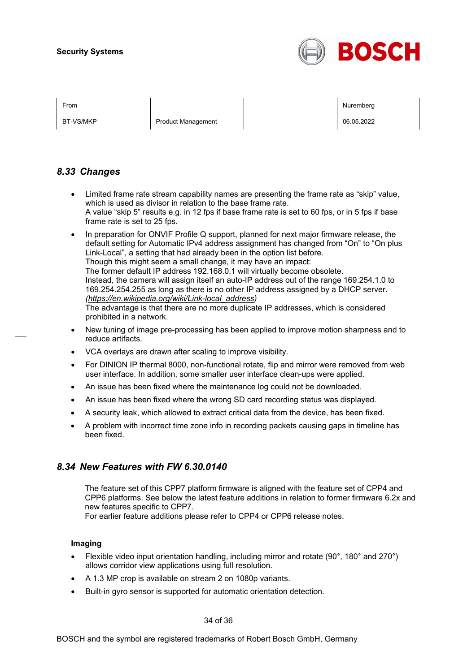

BT-VS/MKP Product Management Product Management Product Nanagement Product Nanagement Product Nanagement Product N

From Nuremberg (Nuremberg ) and the contract of the contract of the contract of the contract of the contract of the contract of the contract of the contract of the contract of the contract of the contract of the contract o

## *8.33 Changes*

- Limited frame rate stream capability names are presenting the frame rate as "skip" value, which is used as divisor in relation to the base frame rate. A value "skip 5" results e.g. in 12 fps if base frame rate is set to 60 fps, or in 5 fps if base frame rate is set to 25 fps.
- In preparation for ONVIF Profile Q support, planned for next major firmware release, the default setting for Automatic IPv4 address assignment has changed from "On" to "On plus Link-Local", a setting that had already been in the option list before. Though this might seem a small change, it may have an impact: The former default IP address 192.168.0.1 will virtually become obsolete. Instead, the camera will assign itself an auto-IP address out of the range 169.254.1.0 to

169.254.254.255 as long as there is no other IP address assigned by a DHCP server. *[\(https://en.wikipedia.org/wiki/Link-local\\_address\)](https://en.wikipedia.org/wiki/Link-local_address)*

The advantage is that there are no more duplicate IP addresses, which is considered prohibited in a network.

- New tuning of image pre-processing has been applied to improve motion sharpness and to reduce artifacts.
- VCA overlays are drawn after scaling to improve visibility.
- For DINION IP thermal 8000, non-functional rotate, flip and mirror were removed from web user interface. In addition, some smaller user interface clean-ups were applied.
- An issue has been fixed where the maintenance log could not be downloaded.
- An issue has been fixed where the wrong SD card recording status was displayed.
- A security leak, which allowed to extract critical data from the device, has been fixed.
- A problem with incorrect time zone info in recording packets causing gaps in timeline has been fixed.

## *8.34 New Features with FW 6.30.0140*

The feature set of this CPP7 platform firmware is aligned with the feature set of CPP4 and CPP6 platforms. See below the latest feature additions in relation to former firmware 6.2x and new features specific to CPP7.

For earlier feature additions please refer to CPP4 or CPP6 release notes.

#### **Imaging**

- Flexible video input orientation handling, including mirror and rotate (90°, 180° and 270°) allows corridor view applications using full resolution.
- A 1.3 MP crop is available on stream 2 on 1080p variants.
- Built-in gyro sensor is supported for automatic orientation detection.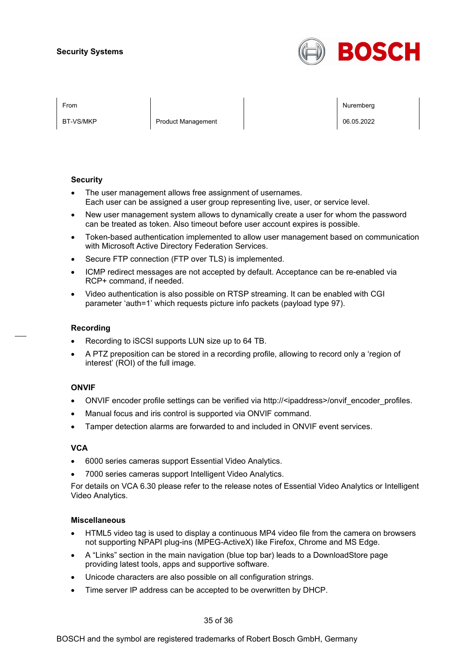

BT-VS/MKP Product Management 06.05.2022

From Nuremberg (Nuremberg ) and the contract of the contract of the contract of the contract of the contract of the contract of the contract of the contract of the contract of the contract of the contract of the contract o

#### **Security**

- The user management allows free assignment of usernames. Each user can be assigned a user group representing live, user, or service level.
- New user management system allows to dynamically create a user for whom the password can be treated as token. Also timeout before user account expires is possible.
- Token-based authentication implemented to allow user management based on communication with Microsoft Active Directory Federation Services.
- Secure FTP connection (FTP over TLS) is implemented.
- ICMP redirect messages are not accepted by default. Acceptance can be re-enabled via RCP+ command, if needed.
- Video authentication is also possible on RTSP streaming. It can be enabled with CGI parameter 'auth=1' which requests picture info packets (payload type 97).

#### **Recording**

- Recording to iSCSI supports LUN size up to 64 TB.
- A PTZ preposition can be stored in a recording profile, allowing to record only a 'region of interest' (ROI) of the full image.

#### **ONVIF**

- ONVIF encoder profile settings can be verified via http://<ipaddress>/onvif\_encoder\_profiles.
- Manual focus and iris control is supported via ONVIF command.
- Tamper detection alarms are forwarded to and included in ONVIF event services.

#### **VCA**

- 6000 series cameras support Essential Video Analytics.
- 7000 series cameras support Intelligent Video Analytics.

For details on VCA 6.30 please refer to the release notes of Essential Video Analytics or Intelligent Video Analytics.

#### **Miscellaneous**

- HTML5 video tag is used to display a continuous MP4 video file from the camera on browsers not supporting NPAPI plug-ins (MPEG-ActiveX) like Firefox, Chrome and MS Edge.
- A "Links" section in the main navigation (blue top bar) leads to a DownloadStore page providing latest tools, apps and supportive software.
- Unicode characters are also possible on all configuration strings.
- Time server IP address can be accepted to be overwritten by DHCP.